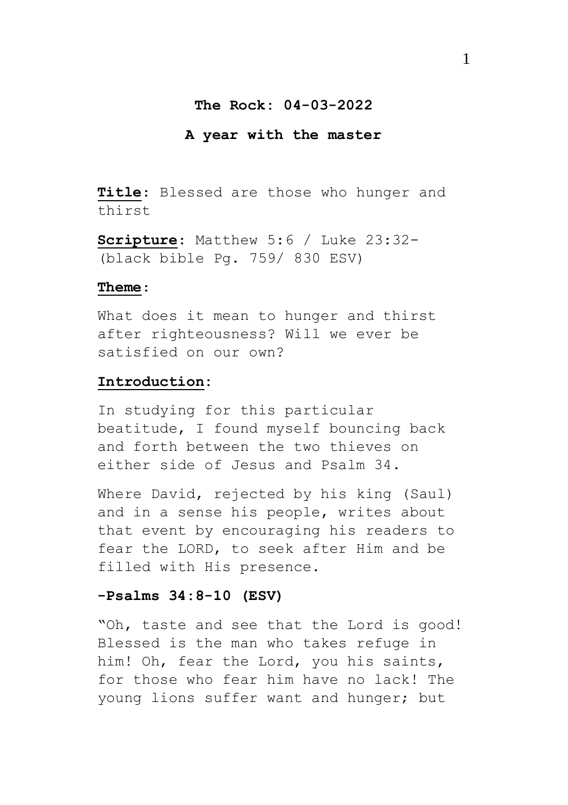## **The Rock: 04-03-2022**

#### **A year with the master**

**Title**: Blessed are those who hunger and thirst

**Scripture**: Matthew 5:6 / Luke 23:32- (black bible Pg. 759/ 830 ESV)

#### **Theme**:

What does it mean to hunger and thirst after righteousness? Will we ever be satisfied on our own?

#### **Introduction:**

In studying for this particular beatitude, I found myself bouncing back and forth between the two thieves on either side of Jesus and Psalm 34.

Where David, rejected by his king (Saul) and in a sense his people, writes about that event by encouraging his readers to fear the LORD, to seek after Him and be filled with His presence.

# **-Psalms 34:8-10 (ESV)**

"Oh, taste and see that the Lord is good! Blessed is the man who takes refuge in him! Oh, fear the Lord, you his saints, for those who fear him have no lack! The young lions suffer want and hunger; but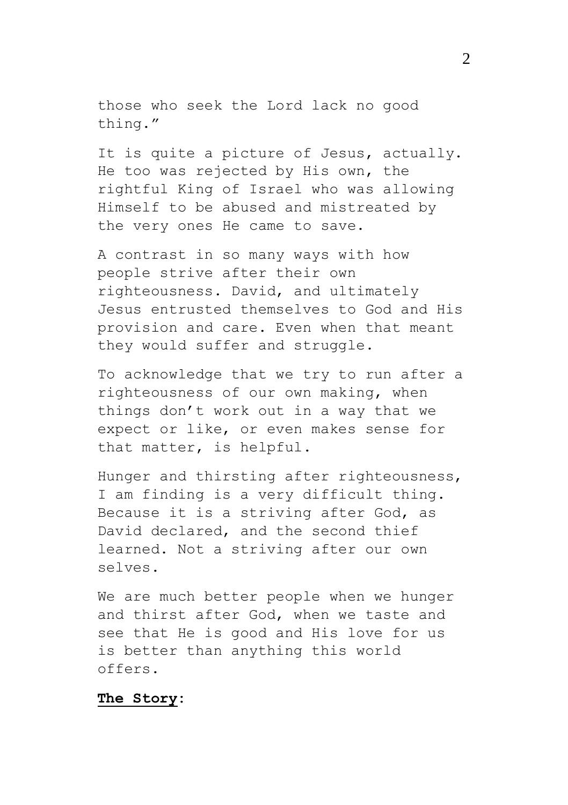those who seek the Lord lack no good thing."

It is quite a picture of Jesus, actually. He too was rejected by His own, the rightful King of Israel who was allowing Himself to be abused and mistreated by the very ones He came to save.

A contrast in so many ways with how people strive after their own righteousness. David, and ultimately Jesus entrusted themselves to God and His provision and care. Even when that meant they would suffer and struggle.

To acknowledge that we try to run after a righteousness of our own making, when things don't work out in a way that we expect or like, or even makes sense for that matter, is helpful.

Hunger and thirsting after righteousness, I am finding is a very difficult thing. Because it is a striving after God, as David declared, and the second thief learned. Not a striving after our own selves.

We are much better people when we hunger and thirst after God, when we taste and see that He is good and His love for us is better than anything this world offers.

#### **The Story:**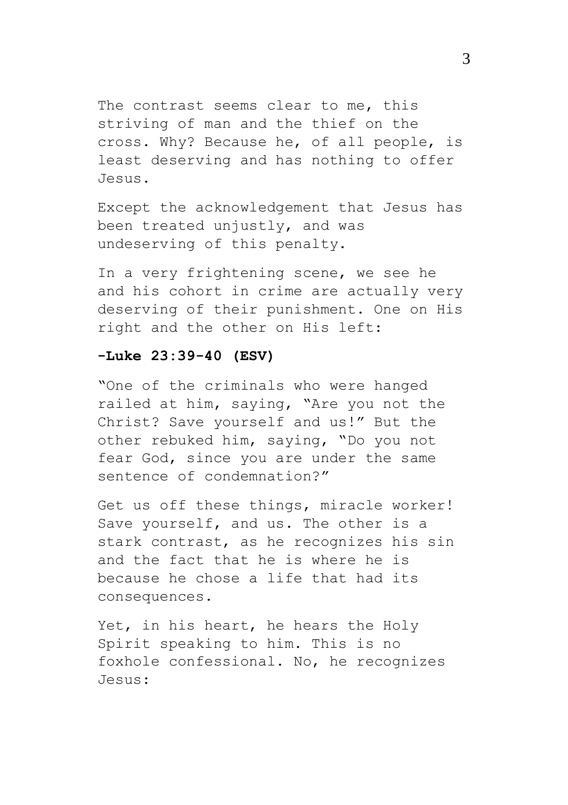The contrast seems clear to me, this striving of man and the thief on the cross. Why? Because he, of all people, is least deserving and has nothing to offer Jesus.

Except the acknowledgement that Jesus has been treated unjustly, and was undeserving of this penalty.

In a very frightening scene, we see he and his cohort in crime are actually very deserving of their punishment. One on His right and the other on His left:

# **-Luke 23:39-40 (ESV)**

"One of the criminals who were hanged railed at him, saying, "Are you not the Christ? Save yourself and us!" But the other rebuked him, saying, "Do you not fear God, since you are under the same sentence of condemnation?"

Get us off these things, miracle worker! Save yourself, and us. The other is a stark contrast, as he recognizes his sin and the fact that he is where he is because he chose a life that had its consequences.

Yet, in his heart, he hears the Holy Spirit speaking to him. This is no foxhole confessional. No, he recognizes Jesus: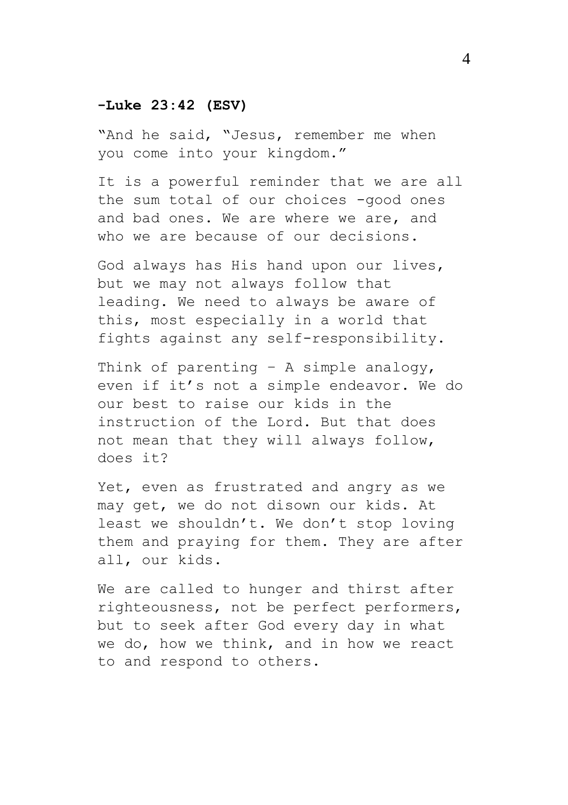# **-Luke 23:42 (ESV)**

"And he said, "Jesus, remember me when you come into your kingdom."

It is a powerful reminder that we are all the sum total of our choices -good ones and bad ones. We are where we are, and who we are because of our decisions.

God always has His hand upon our lives, but we may not always follow that leading. We need to always be aware of this, most especially in a world that fights against any self-responsibility.

Think of parenting – A simple analogy, even if it's not a simple endeavor. We do our best to raise our kids in the instruction of the Lord. But that does not mean that they will always follow, does it?

Yet, even as frustrated and angry as we may get, we do not disown our kids. At least we shouldn't. We don't stop loving them and praying for them. They are after all, our kids.

We are called to hunger and thirst after righteousness, not be perfect performers, but to seek after God every day in what we do, how we think, and in how we react to and respond to others.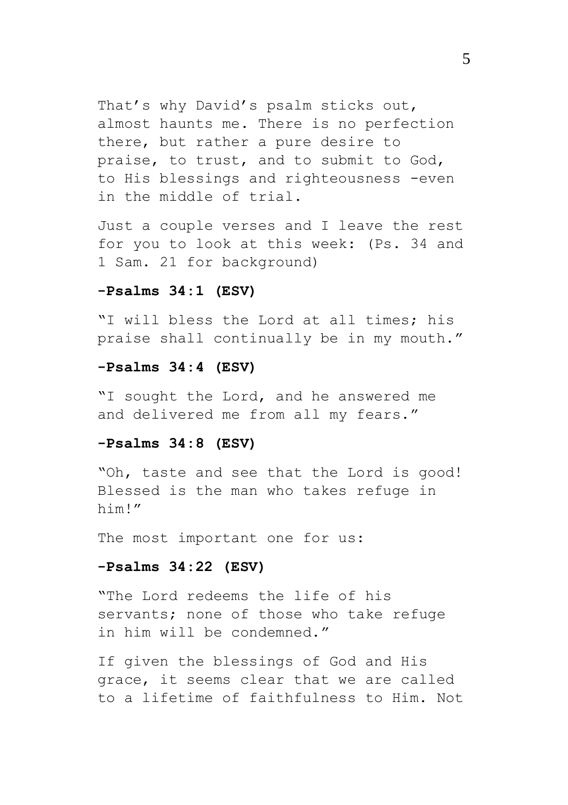That's why David's psalm sticks out, almost haunts me. There is no perfection there, but rather a pure desire to praise, to trust, and to submit to God, to His blessings and righteousness -even in the middle of trial.

Just a couple verses and I leave the rest for you to look at this week: (Ps. 34 and 1 Sam. 21 for background)

#### **-Psalms 34:1 (ESV)**

"I will bless the Lord at all times; his praise shall continually be in my mouth."

## **-Psalms 34:4 (ESV)**

"I sought the Lord, and he answered me and delivered me from all my fears."

## **-Psalms 34:8 (ESV)**

"Oh, taste and see that the Lord is good! Blessed is the man who takes refuge in him!"

The most important one for us:

## **-Psalms 34:22 (ESV)**

"The Lord redeems the life of his servants; none of those who take refuge in him will be condemned."

If given the blessings of God and His grace, it seems clear that we are called to a lifetime of faithfulness to Him. Not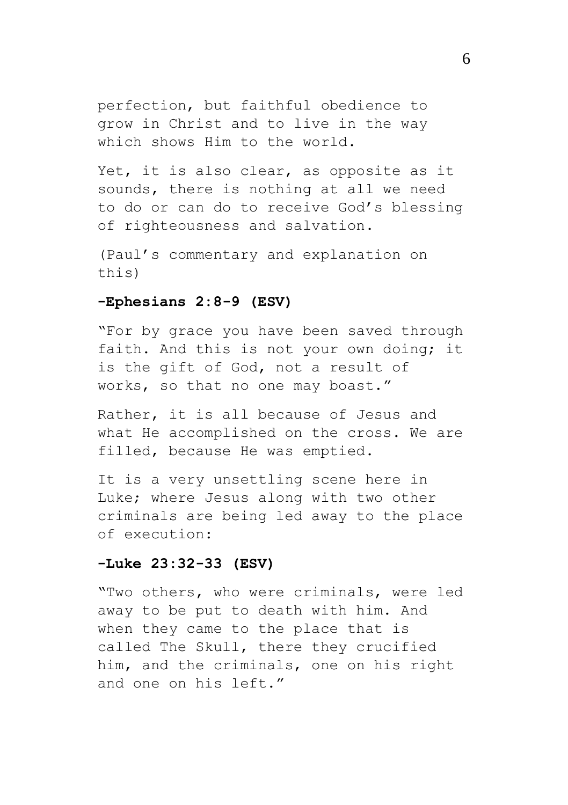perfection, but faithful obedience to grow in Christ and to live in the way which shows Him to the world.

Yet, it is also clear, as opposite as it sounds, there is nothing at all we need to do or can do to receive God's blessing of righteousness and salvation.

(Paul's commentary and explanation on this)

## **-Ephesians 2:8-9 (ESV)**

"For by grace you have been saved through faith. And this is not your own doing; it is the gift of God, not a result of works, so that no one may boast."

Rather, it is all because of Jesus and what He accomplished on the cross. We are filled, because He was emptied.

It is a very unsettling scene here in Luke; where Jesus along with two other criminals are being led away to the place of execution:

#### **-Luke 23:32-33 (ESV)**

"Two others, who were criminals, were led away to be put to death with him. And when they came to the place that is called The Skull, there they crucified him, and the criminals, one on his right and one on his left."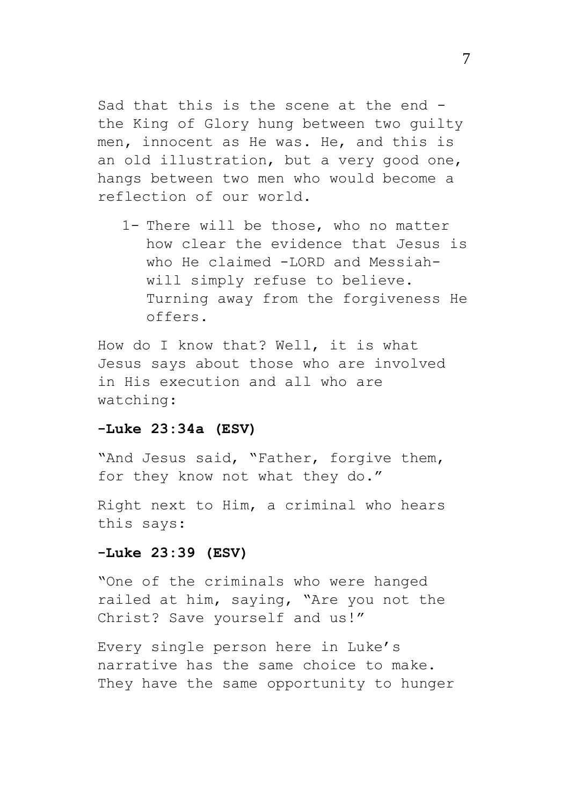Sad that this is the scene at the end the King of Glory hung between two guilty men, innocent as He was. He, and this is an old illustration, but a very good one, hangs between two men who would become a reflection of our world.

1- There will be those, who no matter how clear the evidence that Jesus is who He claimed -LORD and Messiahwill simply refuse to believe. Turning away from the forgiveness He offers.

How do I know that? Well, it is what Jesus says about those who are involved in His execution and all who are watching:

#### **-Luke 23:34a (ESV)**

"And Jesus said, "Father, forgive them, for they know not what they do."

Right next to Him, a criminal who hears this says:

## **-Luke 23:39 (ESV)**

"One of the criminals who were hanged railed at him, saying, "Are you not the Christ? Save yourself and us!"

Every single person here in Luke's narrative has the same choice to make. They have the same opportunity to hunger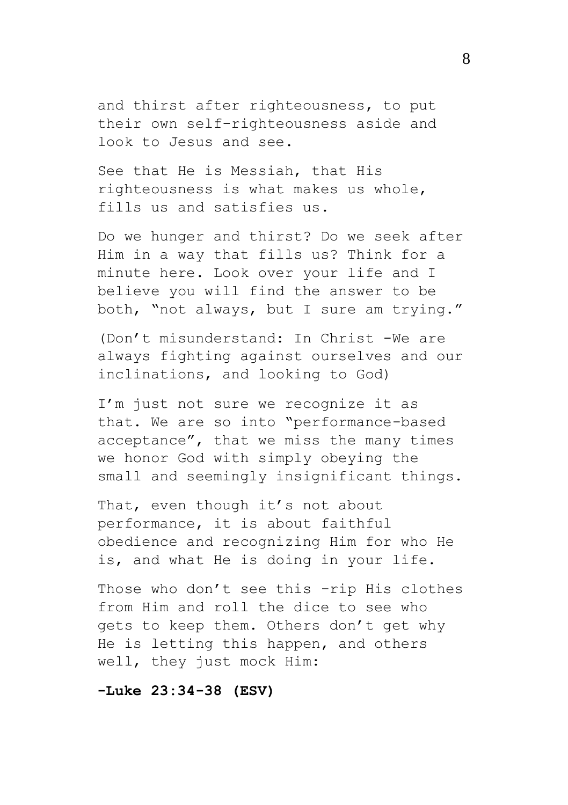and thirst after righteousness, to put their own self-righteousness aside and look to Jesus and see.

See that He is Messiah, that His righteousness is what makes us whole, fills us and satisfies us.

Do we hunger and thirst? Do we seek after Him in a way that fills us? Think for a minute here. Look over your life and I believe you will find the answer to be both, "not always, but I sure am trying."

(Don't misunderstand: In Christ -We are always fighting against ourselves and our inclinations, and looking to God)

I'm just not sure we recognize it as that. We are so into "performance-based acceptance", that we miss the many times we honor God with simply obeying the small and seemingly insignificant things.

That, even though it's not about performance, it is about faithful obedience and recognizing Him for who He is, and what He is doing in your life.

Those who don't see this -rip His clothes from Him and roll the dice to see who gets to keep them. Others don't get why He is letting this happen, and others well, they just mock Him:

# **-Luke 23:34-38 (ESV)**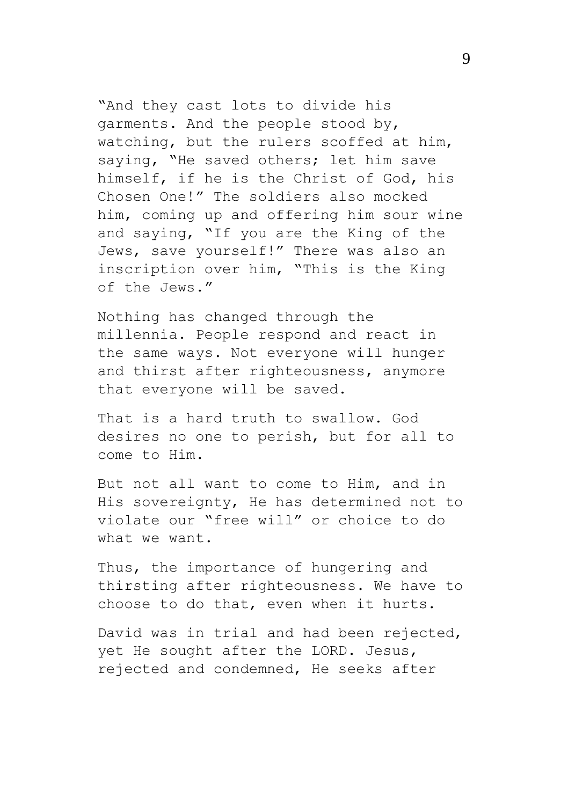"And they cast lots to divide his garments. And the people stood by, watching, but the rulers scoffed at him, saying, "He saved others; let him save himself, if he is the Christ of God, his Chosen One!" The soldiers also mocked him, coming up and offering him sour wine and saying, "If you are the King of the Jews, save yourself!" There was also an inscription over him, "This is the King of the Jews."

Nothing has changed through the millennia. People respond and react in the same ways. Not everyone will hunger and thirst after righteousness, anymore that everyone will be saved.

That is a hard truth to swallow. God desires no one to perish, but for all to come to Him.

But not all want to come to Him, and in His sovereignty, He has determined not to violate our "free will" or choice to do what we want.

Thus, the importance of hungering and thirsting after righteousness. We have to choose to do that, even when it hurts.

David was in trial and had been rejected, yet He sought after the LORD. Jesus, rejected and condemned, He seeks after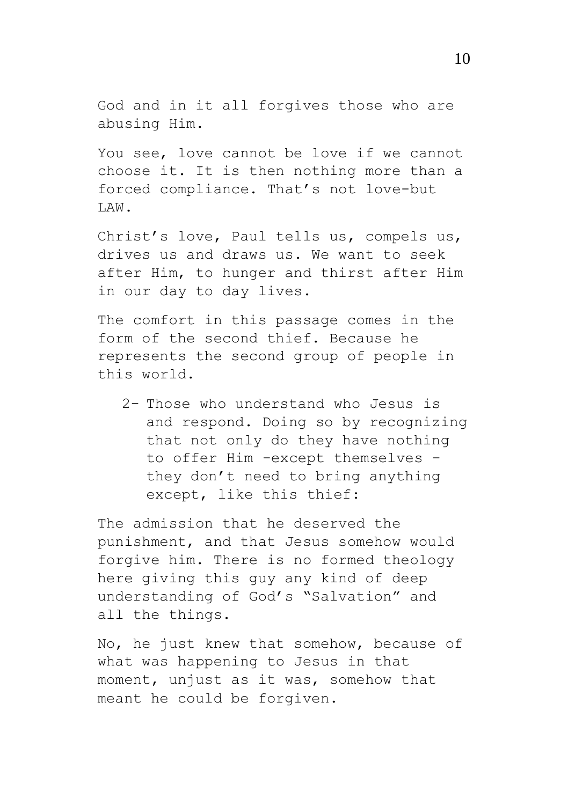God and in it all forgives those who are abusing Him.

You see, love cannot be love if we cannot choose it. It is then nothing more than a forced compliance. That's not love-but LAW.

Christ's love, Paul tells us, compels us, drives us and draws us. We want to seek after Him, to hunger and thirst after Him in our day to day lives.

The comfort in this passage comes in the form of the second thief. Because he represents the second group of people in this world.

2- Those who understand who Jesus is and respond. Doing so by recognizing that not only do they have nothing to offer Him -except themselves they don't need to bring anything except, like this thief:

The admission that he deserved the punishment, and that Jesus somehow would forgive him. There is no formed theology here giving this guy any kind of deep understanding of God's "Salvation" and all the things.

No, he just knew that somehow, because of what was happening to Jesus in that moment, unjust as it was, somehow that meant he could be forgiven.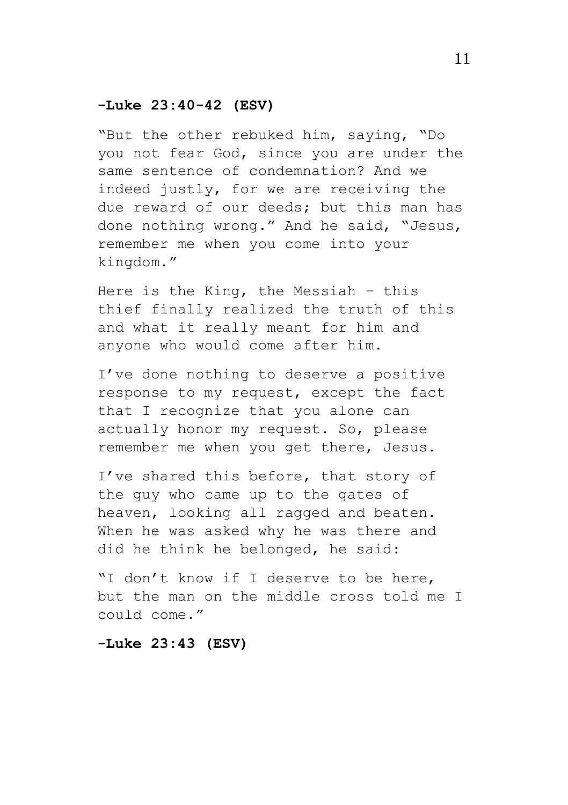# **-Luke 23:40-42 (ESV)**

"But the other rebuked him, saying, "Do you not fear God, since you are under the same sentence of condemnation? And we indeed justly, for we are receiving the due reward of our deeds; but this man has done nothing wrong." And he said, "Jesus, remember me when you come into your kingdom."

Here is the King, the Messiah – this thief finally realized the truth of this and what it really meant for him and anyone who would come after him.

I've done nothing to deserve a positive response to my request, except the fact that I recognize that you alone can actually honor my request. So, please remember me when you get there, Jesus.

I've shared this before, that story of the guy who came up to the gates of heaven, looking all ragged and beaten. When he was asked why he was there and did he think he belonged, he said:

"I don't know if I deserve to be here, but the man on the middle cross told me I could come."

# **-Luke 23:43 (ESV)**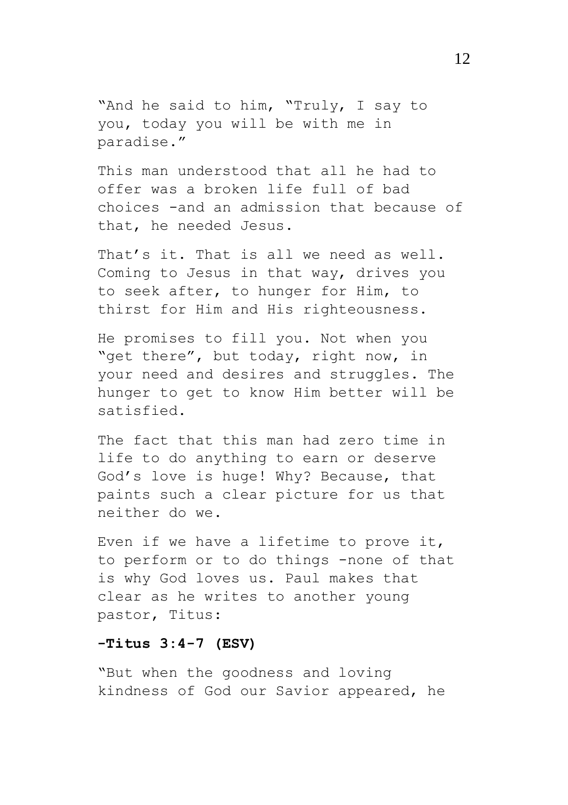"And he said to him, "Truly, I say to you, today you will be with me in paradise."

This man understood that all he had to offer was a broken life full of bad choices -and an admission that because of that, he needed Jesus.

That's it. That is all we need as well. Coming to Jesus in that way, drives you to seek after, to hunger for Him, to thirst for Him and His righteousness.

He promises to fill you. Not when you "get there", but today, right now, in your need and desires and struggles. The hunger to get to know Him better will be satisfied.

The fact that this man had zero time in life to do anything to earn or deserve God's love is huge! Why? Because, that paints such a clear picture for us that neither do we.

Even if we have a lifetime to prove it, to perform or to do things -none of that is why God loves us. Paul makes that clear as he writes to another young pastor, Titus:

# **-Titus 3:4-7 (ESV)**

"But when the goodness and loving kindness of God our Savior appeared, he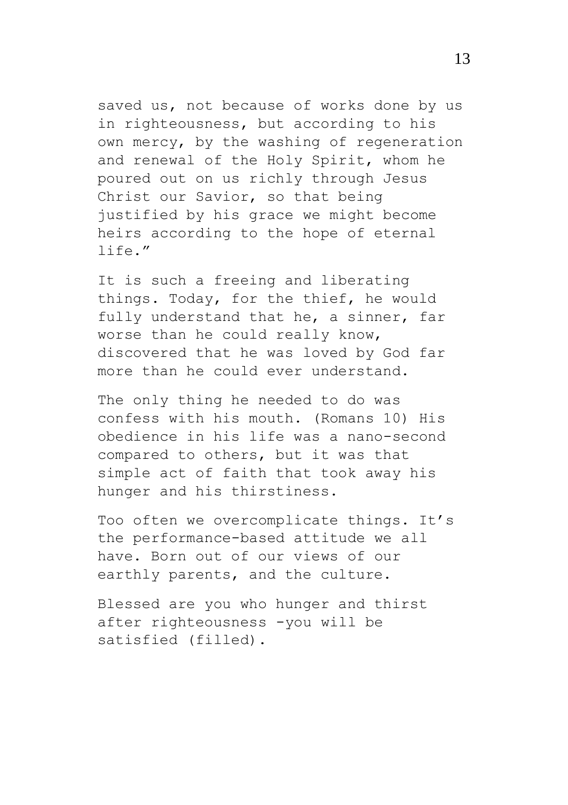saved us, not because of works done by us in righteousness, but according to his own mercy, by the washing of regeneration and renewal of the Holy Spirit, whom he poured out on us richly through Jesus Christ our Savior, so that being justified by his grace we might become heirs according to the hope of eternal life."

It is such a freeing and liberating things. Today, for the thief, he would fully understand that he, a sinner, far worse than he could really know, discovered that he was loved by God far more than he could ever understand.

The only thing he needed to do was confess with his mouth. (Romans 10) His obedience in his life was a nano-second compared to others, but it was that simple act of faith that took away his hunger and his thirstiness.

Too often we overcomplicate things. It's the performance-based attitude we all have. Born out of our views of our earthly parents, and the culture.

Blessed are you who hunger and thirst after righteousness -you will be satisfied (filled).